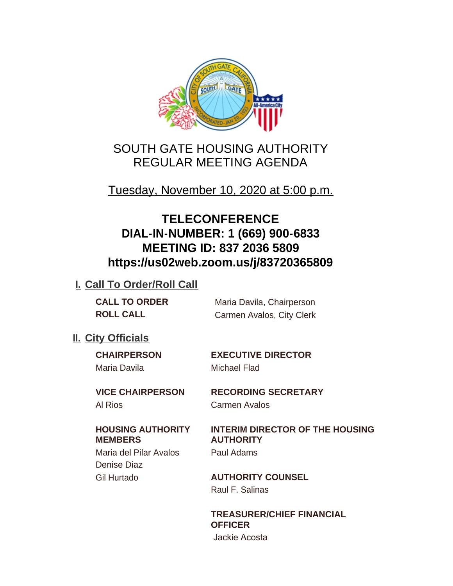

# SOUTH GATE HOUSING AUTHORITY REGULAR MEETING AGENDA

Tuesday, November 10, 2020 at 5:00 p.m.

# **TELECONFERENCE DIAL-IN-NUMBER: 1 (669) 900-6833 MEETING ID: 837 2036 5809 https://us02web.zoom.us/j/83720365809**

## **I. Call To Order/Roll Call**

**CALL TO ORDER** Maria Davila, Chairperson **ROLL CALL** Carmen Avalos, City Clerk

## **II.** City Officials

Maria Davila Michael Flad

**CHAIRPERSON EXECUTIVE DIRECTOR**

**VICE CHAIRPERSON RECORDING SECRETARY** Al Rios Carmen Avalos

### **HOUSING AUTHORITY MEMBERS**

Maria del Pilar Avalos Paul Adams Denise Diaz

**INTERIM DIRECTOR OF THE HOUSING** 

**AUTHORITY**

Gil Hurtado **AUTHORITY COUNSEL** Raul F. Salinas

> **TREASURER/CHIEF FINANCIAL OFFICER**

Jackie Acosta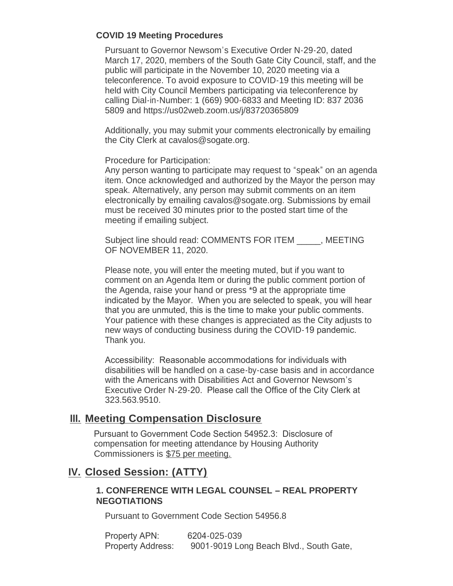#### **COVID 19 Meeting Procedures**

Pursuant to Governor Newsom's Executive Order N-29-20, dated March 17, 2020, members of the South Gate City Council, staff, and the public will participate in the November 10, 2020 meeting via a teleconference. To avoid exposure to COVID-19 this meeting will be held with City Council Members participating via teleconference by calling Dial-in-Number: 1 (669) 900-6833 and Meeting ID: 837 2036 5809 and https://us02web.zoom.us/j/83720365809

Additionally, you may submit your comments electronically by emailing the City Clerk at cavalos@sogate.org.

Procedure for Participation:

Any person wanting to participate may request to "speak" on an agenda item. Once acknowledged and authorized by the Mayor the person may speak. Alternatively, any person may submit comments on an item electronically by emailing cavalos@sogate.org. Submissions by email must be received 30 minutes prior to the posted start time of the meeting if emailing subject.

Subject line should read: COMMENTS FOR ITEM \_\_\_\_\_, MEETING OF NOVEMBER 11, 2020.

Please note, you will enter the meeting muted, but if you want to comment on an Agenda Item or during the public comment portion of the Agenda, raise your hand or press \*9 at the appropriate time indicated by the Mayor. When you are selected to speak, you will hear that you are unmuted, this is the time to make your public comments. Your patience with these changes is appreciated as the City adjusts to new ways of conducting business during the COVID-19 pandemic. Thank you.

Accessibility: Reasonable accommodations for individuals with disabilities will be handled on a case-by-case basis and in accordance with the Americans with Disabilities Act and Governor Newsom's Executive Order N-29-20. Please call the Office of the City Clerk at 323.563.9510.

## **Meeting Compensation Disclosure III.**

Pursuant to Government Code Section 54952.3: Disclosure of compensation for meeting attendance by Housing Authority Commissioners is \$75 per meeting.

## **Closed Session: (ATTY) IV.**

#### **1. CONFERENCE WITH LEGAL COUNSEL – REAL PROPERTY NEGOTIATIONS**

Pursuant to Government Code Section 54956.8

Property APN: 6204-025-039 Property Address: 9001-9019 Long Beach Blvd., South Gate,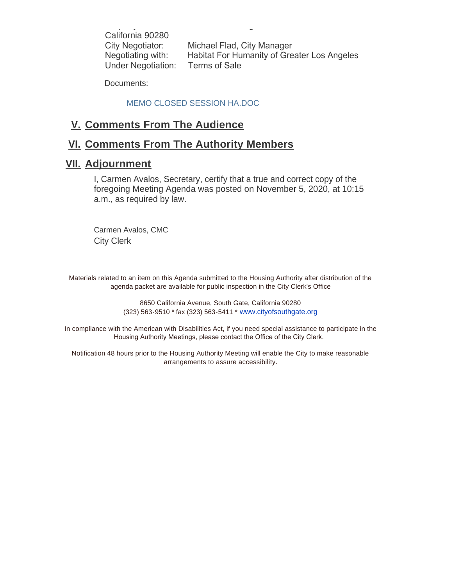California 90280 City Negotiator: Michael Flad, City Manager Negotiating with: Habitat For Humanity of Greater Los Angeles Under Negotiation: Terms of Sale

Property Address: 9001-9019 Long Beach Blvd., South Gate,

Documents:

#### MEMO CLOSED SESSION HA.DOC

## **Comments From The Audience V.**

## **Comments From The Authority Members VI.**

### **Adjournment VII.**

I, Carmen Avalos, Secretary, certify that a true and correct copy of the foregoing Meeting Agenda was posted on November 5, 2020, at 10:15 a.m., as required by law.

Carmen Avalos, CMC City Clerk

Materials related to an item on this Agenda submitted to the Housing Authority after distribution of the agenda packet are available for public inspection in the City Clerk's Office

> 8650 California Avenue, South Gate, California 90280 (323) 563-9510 \* fax (323) 563-5411 \* [www.cityofsouthgate.org](http://www.cityofsouthgate.org/)

In compliance with the American with Disabilities Act, if you need special assistance to participate in the Housing Authority Meetings, please contact the Office of the City Clerk.

Notification 48 hours prior to the Housing Authority Meeting will enable the City to make reasonable arrangements to assure accessibility.